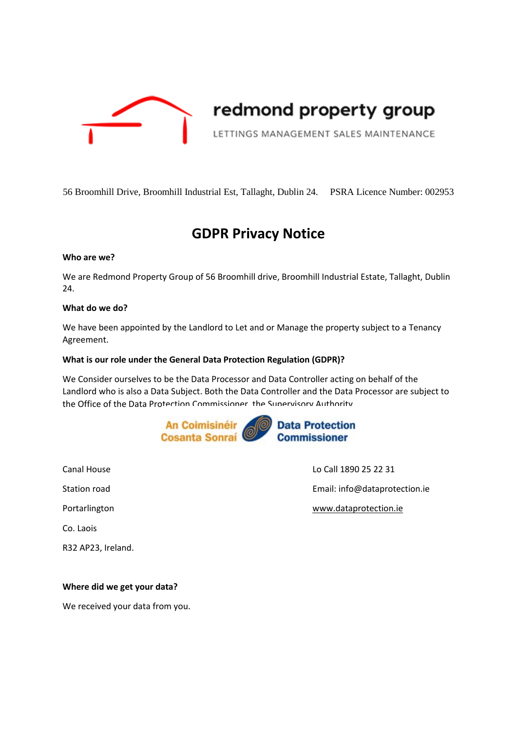

# redmond property group

LETTINGS MANAGEMENT SALES MAINTENANCE

56 Broomhill Drive, Broomhill Industrial Est, Tallaght, Dublin 24. PSRA Licence Number: 002953

# **GDPR Privacy Notice**

#### **Who are we?**

We are Redmond Property Group of 56 Broomhill drive, Broomhill Industrial Estate, Tallaght, Dublin 24.

#### **What do we do?**

We have been appointed by the Landlord to Let and or Manage the property subject to a Tenancy Agreement.

#### **What is our role under the General Data Protection Regulation (GDPR)?**

We Consider ourselves to be the Data Processor and Data Controller acting on behalf of the Landlord who is also a Data Subject. Both the Data Controller and the Data Processor are subject to the Office of the Data Protection Commissioner, the Supervisory Authority.



Co. Laois R32 AP23, Ireland.

Canal House Lo Call 1890 25 22 31 Station road **Email:** info@dataprotection.ie Portarlington **www.dataprotection.ie** 

#### **Where did we get your data?**

We received your data from you.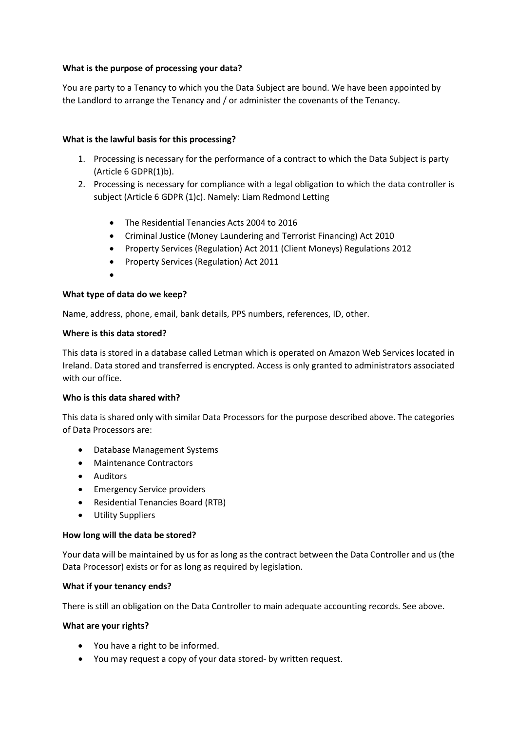## **What is the purpose of processing your data?**

You are party to a Tenancy to which you the Data Subject are bound. We have been appointed by the Landlord to arrange the Tenancy and / or administer the covenants of the Tenancy.

# **What is the lawful basis for this processing?**

- 1. Processing is necessary for the performance of a contract to which the Data Subject is party (Article 6 GDPR(1)b).
- 2. Processing is necessary for compliance with a legal obligation to which the data controller is subject (Article 6 GDPR (1)c). Namely: Liam Redmond Letting
	- The Residential Tenancies Acts 2004 to 2016
	- Criminal Justice (Money Laundering and Terrorist Financing) Act 2010
	- Property Services (Regulation) Act 2011 (Client Moneys) Regulations 2012
	- Property Services (Regulation) Act 2011
	- •

#### **What type of data do we keep?**

Name, address, phone, email, bank details, PPS numbers, references, ID, other.

#### **Where is this data stored?**

This data is stored in a database called Letman which is operated on Amazon Web Services located in Ireland. Data stored and transferred is encrypted. Access is only granted to administrators associated with our office.

#### **Who is this data shared with?**

This data is shared only with similar Data Processors for the purpose described above. The categories of Data Processors are:

- Database Management Systems
- Maintenance Contractors
- Auditors
- Emergency Service providers
- Residential Tenancies Board (RTB)
- Utility Suppliers

#### **How long will the data be stored?**

Your data will be maintained by us for as long as the contract between the Data Controller and us (the Data Processor) exists or for as long as required by legislation.

#### **What if your tenancy ends?**

There is still an obligation on the Data Controller to main adequate accounting records. See above.

#### **What are your rights?**

- You have a right to be informed.
- You may request a copy of your data stored- by written request.